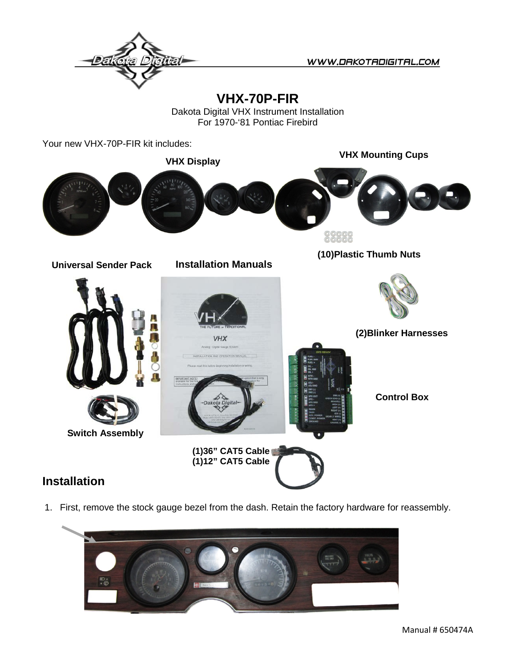

WWW.DRKOTRDIGITRL.COM

**VHX-70P-FIR**

Dakota Digital VHX Instrument Installation For 1970-'81 Pontiac Firebird

Your new VHX-70P-FIR kit includes:

**VHX Mounting Cups VHX Display** <u>၀၀၀၀၀</u> **(10)Plastic Thumb Nuts Installation Manuals Universal Sender Pack (2)Blinker Harnesses VHX** IMPORTANT N **Control Box Switch Assembly(1)36" CAT5 Cable (1)12" CAT5 Cable Installation**

## 1. First, remove the stock gauge bezel from the dash. Retain the factory hardware for reassembly.

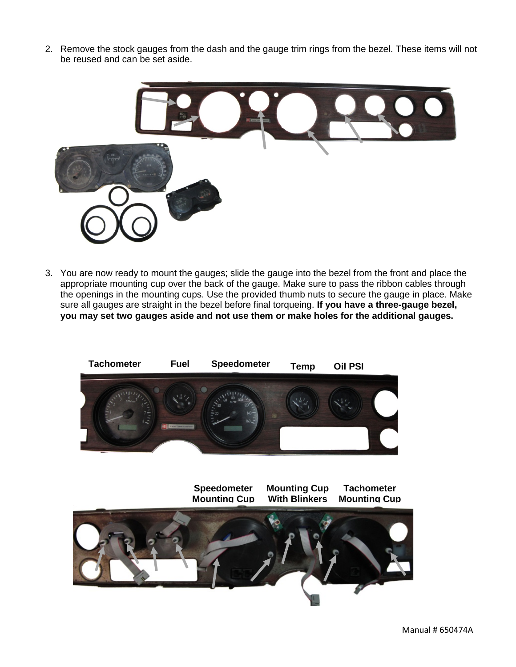2. Remove the stock gauges from the dash and the gauge trim rings from the bezel. These items will not be reused and can be set aside.



3. You are now ready to mount the gauges; slide the gauge into the bezel from the front and place the appropriate mounting cup over the back of the gauge. Make sure to pass the ribbon cables through the openings in the mounting cups. Use the provided thumb nuts to secure the gauge in place. Make sure all gauges are straight in the bezel before final torqueing. **If you have a three-gauge bezel, you may set two gauges aside and not use them or make holes for the additional gauges.**

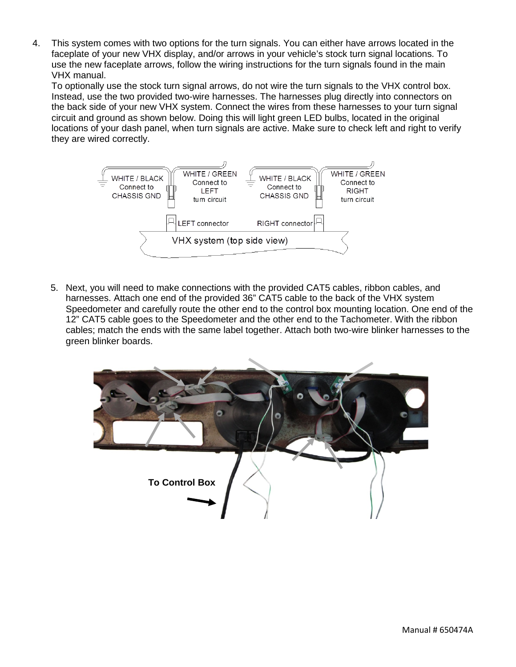4. This system comes with two options for the turn signals. You can either have arrows located in the faceplate of your new VHX display, and/or arrows in your vehicle's stock turn signal locations. To use the new faceplate arrows, follow the wiring instructions for the turn signals found in the main VHX manual.

To optionally use the stock turn signal arrows, do not wire the turn signals to the VHX control box. Instead, use the two provided two-wire harnesses. The harnesses plug directly into connectors on the back side of your new VHX system. Connect the wires from these harnesses to your turn signal circuit and ground as shown below. Doing this will light green LED bulbs, located in the original locations of your dash panel, when turn signals are active. Make sure to check left and right to verify they are wired correctly.



5. Next, you will need to make connections with the provided CAT5 cables, ribbon cables, and harnesses. Attach one end of the provided 36" CAT5 cable to the back of the VHX system Speedometer and carefully route the other end to the control box mounting location. One end of the 12" CAT5 cable goes to the Speedometer and the other end to the Tachometer. With the ribbon cables; match the ends with the same label together. Attach both two-wire blinker harnesses to the green blinker boards.